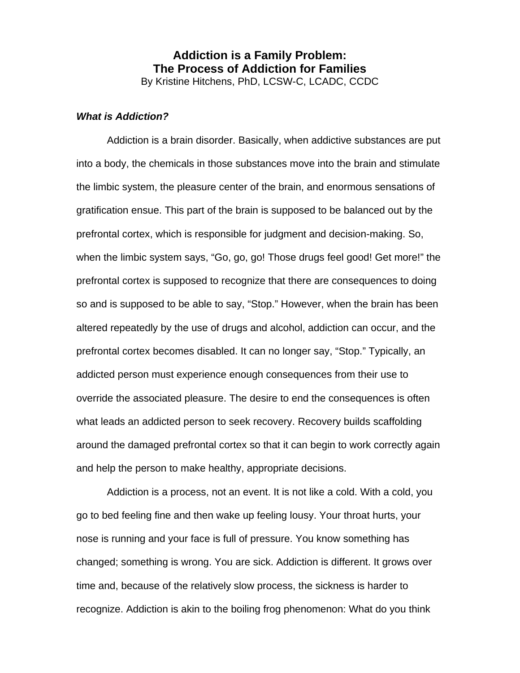# **Addiction is a Family Problem: The Process of Addiction for Families**  By Kristine Hitchens, PhD, LCSW-C, LCADC, CCDC

## *What is Addiction?*

Addiction is a brain disorder. Basically, when addictive substances are put into a body, the chemicals in those substances move into the brain and stimulate the limbic system, the pleasure center of the brain, and enormous sensations of gratification ensue. This part of the brain is supposed to be balanced out by the prefrontal cortex, which is responsible for judgment and decision-making. So, when the limbic system says, "Go, go, go! Those drugs feel good! Get more!" the prefrontal cortex is supposed to recognize that there are consequences to doing so and is supposed to be able to say, "Stop." However, when the brain has been altered repeatedly by the use of drugs and alcohol, addiction can occur, and the prefrontal cortex becomes disabled. It can no longer say, "Stop." Typically, an addicted person must experience enough consequences from their use to override the associated pleasure. The desire to end the consequences is often what leads an addicted person to seek recovery. Recovery builds scaffolding around the damaged prefrontal cortex so that it can begin to work correctly again and help the person to make healthy, appropriate decisions.

Addiction is a process, not an event. It is not like a cold. With a cold, you go to bed feeling fine and then wake up feeling lousy. Your throat hurts, your nose is running and your face is full of pressure. You know something has changed; something is wrong. You are sick. Addiction is different. It grows over time and, because of the relatively slow process, the sickness is harder to recognize. Addiction is akin to the boiling frog phenomenon: What do you think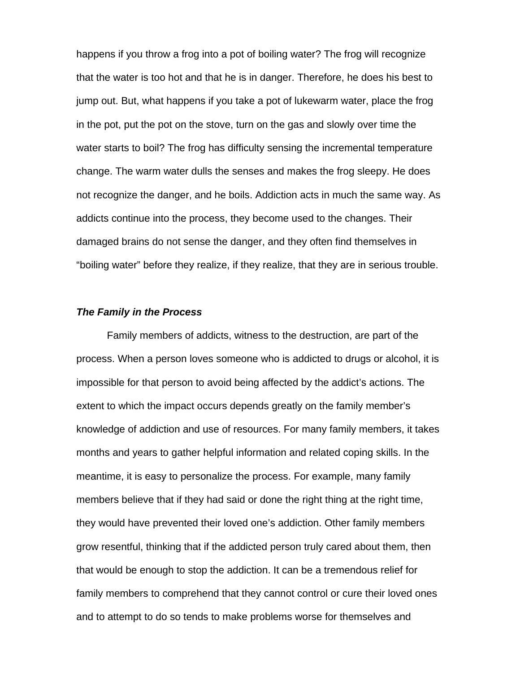happens if you throw a frog into a pot of boiling water? The frog will recognize that the water is too hot and that he is in danger. Therefore, he does his best to jump out. But, what happens if you take a pot of lukewarm water, place the frog in the pot, put the pot on the stove, turn on the gas and slowly over time the water starts to boil? The frog has difficulty sensing the incremental temperature change. The warm water dulls the senses and makes the frog sleepy. He does not recognize the danger, and he boils. Addiction acts in much the same way. As addicts continue into the process, they become used to the changes. Their damaged brains do not sense the danger, and they often find themselves in "boiling water" before they realize, if they realize, that they are in serious trouble.

#### *The Family in the Process*

Family members of addicts, witness to the destruction, are part of the process. When a person loves someone who is addicted to drugs or alcohol, it is impossible for that person to avoid being affected by the addict's actions. The extent to which the impact occurs depends greatly on the family member's knowledge of addiction and use of resources. For many family members, it takes months and years to gather helpful information and related coping skills. In the meantime, it is easy to personalize the process. For example, many family members believe that if they had said or done the right thing at the right time, they would have prevented their loved one's addiction. Other family members grow resentful, thinking that if the addicted person truly cared about them, then that would be enough to stop the addiction. It can be a tremendous relief for family members to comprehend that they cannot control or cure their loved ones and to attempt to do so tends to make problems worse for themselves and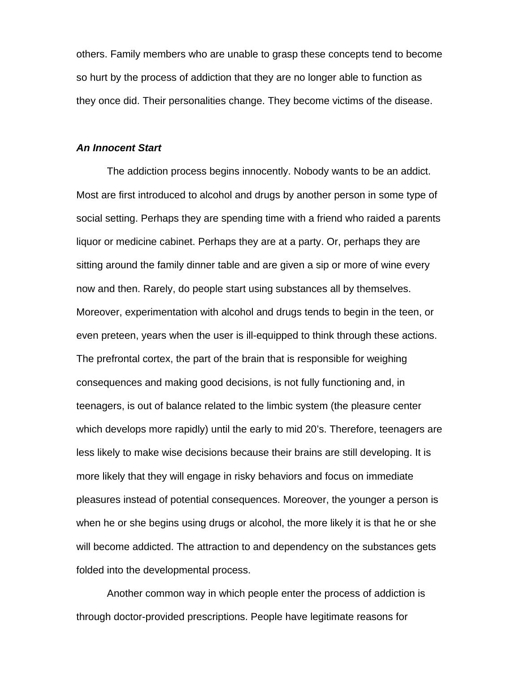others. Family members who are unable to grasp these concepts tend to become so hurt by the process of addiction that they are no longer able to function as they once did. Their personalities change. They become victims of the disease.

#### *An Innocent Start*

The addiction process begins innocently. Nobody wants to be an addict. Most are first introduced to alcohol and drugs by another person in some type of social setting. Perhaps they are spending time with a friend who raided a parents liquor or medicine cabinet. Perhaps they are at a party. Or, perhaps they are sitting around the family dinner table and are given a sip or more of wine every now and then. Rarely, do people start using substances all by themselves. Moreover, experimentation with alcohol and drugs tends to begin in the teen, or even preteen, years when the user is ill-equipped to think through these actions. The prefrontal cortex, the part of the brain that is responsible for weighing consequences and making good decisions, is not fully functioning and, in teenagers, is out of balance related to the limbic system (the pleasure center which develops more rapidly) until the early to mid 20's. Therefore, teenagers are less likely to make wise decisions because their brains are still developing. It is more likely that they will engage in risky behaviors and focus on immediate pleasures instead of potential consequences. Moreover, the younger a person is when he or she begins using drugs or alcohol, the more likely it is that he or she will become addicted. The attraction to and dependency on the substances gets folded into the developmental process.

 Another common way in which people enter the process of addiction is through doctor-provided prescriptions. People have legitimate reasons for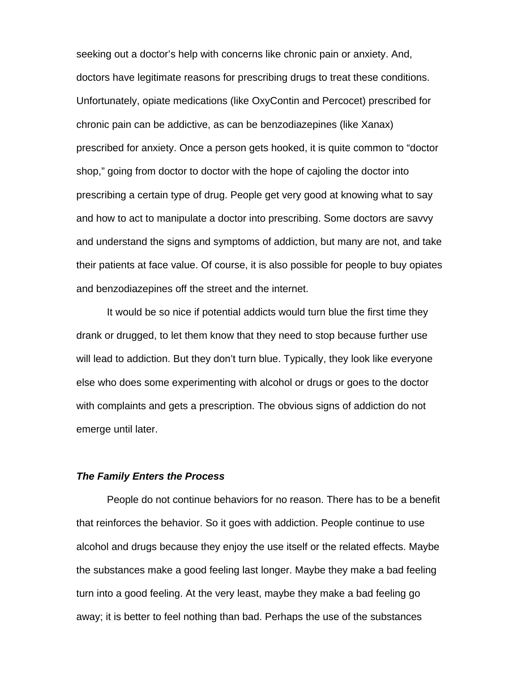seeking out a doctor's help with concerns like chronic pain or anxiety. And, doctors have legitimate reasons for prescribing drugs to treat these conditions. Unfortunately, opiate medications (like OxyContin and Percocet) prescribed for chronic pain can be addictive, as can be benzodiazepines (like Xanax) prescribed for anxiety. Once a person gets hooked, it is quite common to "doctor shop," going from doctor to doctor with the hope of cajoling the doctor into prescribing a certain type of drug. People get very good at knowing what to say and how to act to manipulate a doctor into prescribing. Some doctors are savvy and understand the signs and symptoms of addiction, but many are not, and take their patients at face value. Of course, it is also possible for people to buy opiates and benzodiazepines off the street and the internet.

 It would be so nice if potential addicts would turn blue the first time they drank or drugged, to let them know that they need to stop because further use will lead to addiction. But they don't turn blue. Typically, they look like everyone else who does some experimenting with alcohol or drugs or goes to the doctor with complaints and gets a prescription. The obvious signs of addiction do not emerge until later.

### *The Family Enters the Process*

People do not continue behaviors for no reason. There has to be a benefit that reinforces the behavior. So it goes with addiction. People continue to use alcohol and drugs because they enjoy the use itself or the related effects. Maybe the substances make a good feeling last longer. Maybe they make a bad feeling turn into a good feeling. At the very least, maybe they make a bad feeling go away; it is better to feel nothing than bad. Perhaps the use of the substances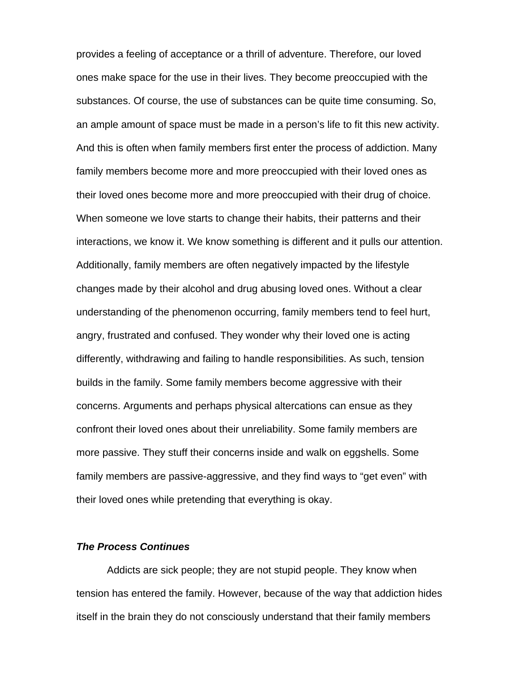provides a feeling of acceptance or a thrill of adventure. Therefore, our loved ones make space for the use in their lives. They become preoccupied with the substances. Of course, the use of substances can be quite time consuming. So, an ample amount of space must be made in a person's life to fit this new activity. And this is often when family members first enter the process of addiction. Many family members become more and more preoccupied with their loved ones as their loved ones become more and more preoccupied with their drug of choice. When someone we love starts to change their habits, their patterns and their interactions, we know it. We know something is different and it pulls our attention. Additionally, family members are often negatively impacted by the lifestyle changes made by their alcohol and drug abusing loved ones. Without a clear understanding of the phenomenon occurring, family members tend to feel hurt, angry, frustrated and confused. They wonder why their loved one is acting differently, withdrawing and failing to handle responsibilities. As such, tension builds in the family. Some family members become aggressive with their concerns. Arguments and perhaps physical altercations can ensue as they confront their loved ones about their unreliability. Some family members are more passive. They stuff their concerns inside and walk on eggshells. Some family members are passive-aggressive, and they find ways to "get even" with their loved ones while pretending that everything is okay.

## *The Process Continues*

Addicts are sick people; they are not stupid people. They know when tension has entered the family. However, because of the way that addiction hides itself in the brain they do not consciously understand that their family members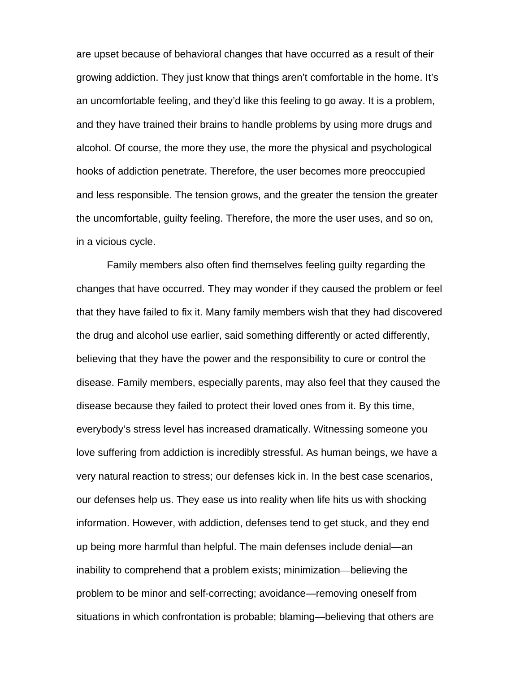are upset because of behavioral changes that have occurred as a result of their growing addiction. They just know that things aren't comfortable in the home. It's an uncomfortable feeling, and they'd like this feeling to go away. It is a problem, and they have trained their brains to handle problems by using more drugs and alcohol. Of course, the more they use, the more the physical and psychological hooks of addiction penetrate. Therefore, the user becomes more preoccupied and less responsible. The tension grows, and the greater the tension the greater the uncomfortable, guilty feeling. Therefore, the more the user uses, and so on, in a vicious cycle.

Family members also often find themselves feeling guilty regarding the changes that have occurred. They may wonder if they caused the problem or feel that they have failed to fix it. Many family members wish that they had discovered the drug and alcohol use earlier, said something differently or acted differently, believing that they have the power and the responsibility to cure or control the disease. Family members, especially parents, may also feel that they caused the disease because they failed to protect their loved ones from it. By this time, everybody's stress level has increased dramatically. Witnessing someone you love suffering from addiction is incredibly stressful. As human beings, we have a very natural reaction to stress; our defenses kick in. In the best case scenarios, our defenses help us. They ease us into reality when life hits us with shocking information. However, with addiction, defenses tend to get stuck, and they end up being more harmful than helpful. The main defenses include denial—an inability to comprehend that a problem exists; minimization—believing the problem to be minor and self-correcting; avoidance—removing oneself from situations in which confrontation is probable; blaming—believing that others are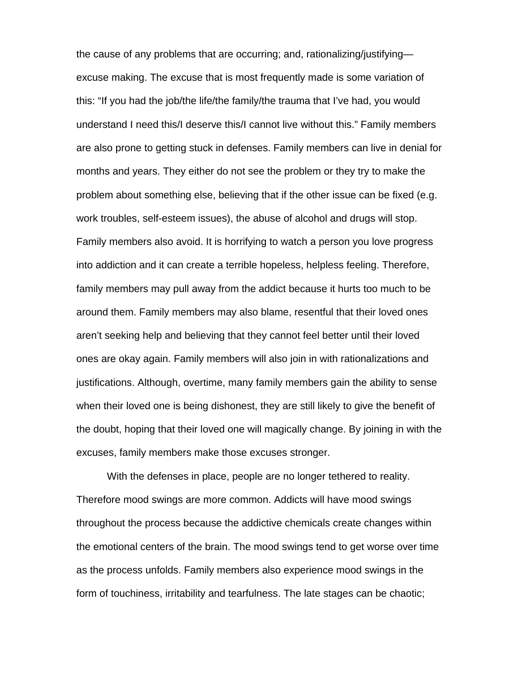the cause of any problems that are occurring; and, rationalizing/justifying excuse making. The excuse that is most frequently made is some variation of this: "If you had the job/the life/the family/the trauma that I've had, you would understand I need this/I deserve this/I cannot live without this." Family members are also prone to getting stuck in defenses. Family members can live in denial for months and years. They either do not see the problem or they try to make the problem about something else, believing that if the other issue can be fixed (e.g. work troubles, self-esteem issues), the abuse of alcohol and drugs will stop. Family members also avoid. It is horrifying to watch a person you love progress into addiction and it can create a terrible hopeless, helpless feeling. Therefore, family members may pull away from the addict because it hurts too much to be around them. Family members may also blame, resentful that their loved ones aren't seeking help and believing that they cannot feel better until their loved ones are okay again. Family members will also join in with rationalizations and justifications. Although, overtime, many family members gain the ability to sense when their loved one is being dishonest, they are still likely to give the benefit of the doubt, hoping that their loved one will magically change. By joining in with the excuses, family members make those excuses stronger.

With the defenses in place, people are no longer tethered to reality. Therefore mood swings are more common. Addicts will have mood swings throughout the process because the addictive chemicals create changes within the emotional centers of the brain. The mood swings tend to get worse over time as the process unfolds. Family members also experience mood swings in the form of touchiness, irritability and tearfulness. The late stages can be chaotic;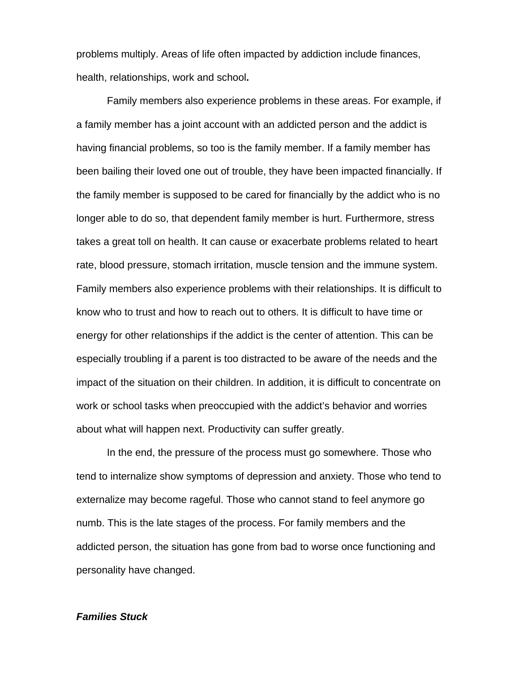problems multiply. Areas of life often impacted by addiction include finances, health, relationships, work and school**.** 

Family members also experience problems in these areas. For example, if a family member has a joint account with an addicted person and the addict is having financial problems, so too is the family member. If a family member has been bailing their loved one out of trouble, they have been impacted financially. If the family member is supposed to be cared for financially by the addict who is no longer able to do so, that dependent family member is hurt. Furthermore, stress takes a great toll on health. It can cause or exacerbate problems related to heart rate, blood pressure, stomach irritation, muscle tension and the immune system. Family members also experience problems with their relationships. It is difficult to know who to trust and how to reach out to others. It is difficult to have time or energy for other relationships if the addict is the center of attention. This can be especially troubling if a parent is too distracted to be aware of the needs and the impact of the situation on their children. In addition, it is difficult to concentrate on work or school tasks when preoccupied with the addict's behavior and worries about what will happen next. Productivity can suffer greatly.

In the end, the pressure of the process must go somewhere. Those who tend to internalize show symptoms of depression and anxiety. Those who tend to externalize may become rageful. Those who cannot stand to feel anymore go numb. This is the late stages of the process. For family members and the addicted person, the situation has gone from bad to worse once functioning and personality have changed.

## *Families Stuck*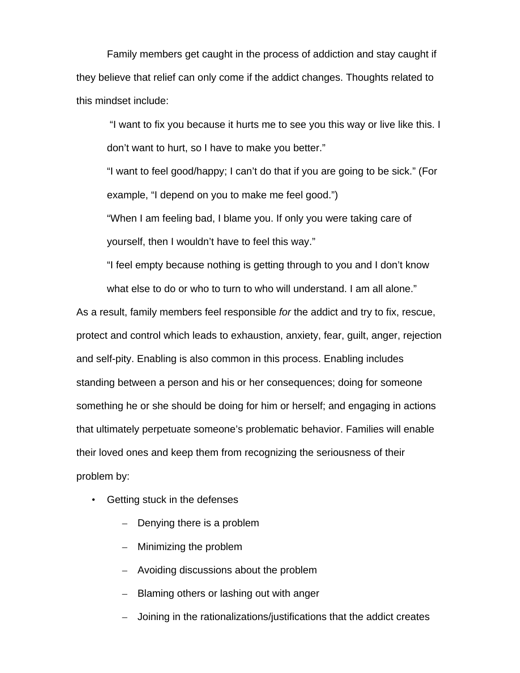Family members get caught in the process of addiction and stay caught if they believe that relief can only come if the addict changes. Thoughts related to this mindset include:

 "I want to fix you because it hurts me to see you this way or live like this. I don't want to hurt, so I have to make you better."

"I want to feel good/happy; I can't do that if you are going to be sick." (For example, "I depend on you to make me feel good.")

"When I am feeling bad, I blame you. If only you were taking care of yourself, then I wouldn't have to feel this way."

"I feel empty because nothing is getting through to you and I don't know what else to do or who to turn to who will understand. I am all alone."

As a result, family members feel responsible *for* the addict and try to fix, rescue, protect and control which leads to exhaustion, anxiety, fear, guilt, anger, rejection and self-pity. Enabling is also common in this process. Enabling includes standing between a person and his or her consequences; doing for someone something he or she should be doing for him or herself; and engaging in actions that ultimately perpetuate someone's problematic behavior. Families will enable their loved ones and keep them from recognizing the seriousness of their problem by:

- Getting stuck in the defenses
	- Denying there is a problem
	- Minimizing the problem
	- Avoiding discussions about the problem
	- Blaming others or lashing out with anger
	- Joining in the rationalizations/justifications that the addict creates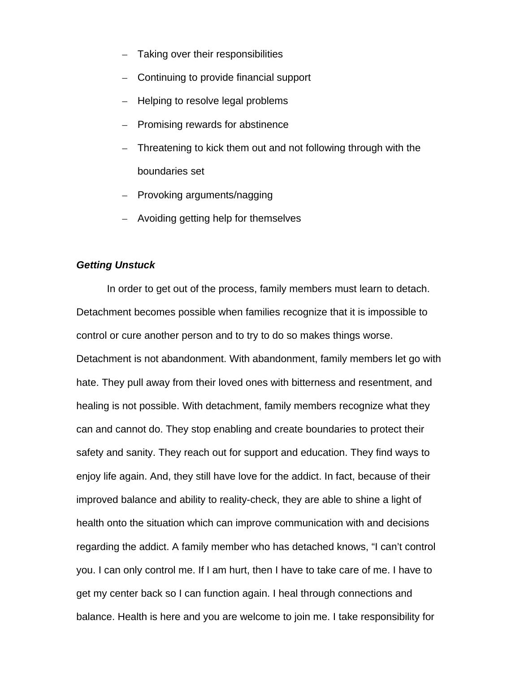- Taking over their responsibilities
- Continuing to provide financial support
- Helping to resolve legal problems
- Promising rewards for abstinence
- Threatening to kick them out and not following through with the boundaries set
- Provoking arguments/nagging
- Avoiding getting help for themselves

### *Getting Unstuck*

In order to get out of the process, family members must learn to detach. Detachment becomes possible when families recognize that it is impossible to control or cure another person and to try to do so makes things worse. Detachment is not abandonment. With abandonment, family members let go with hate. They pull away from their loved ones with bitterness and resentment, and healing is not possible. With detachment, family members recognize what they can and cannot do. They stop enabling and create boundaries to protect their safety and sanity. They reach out for support and education. They find ways to enjoy life again. And, they still have love for the addict. In fact, because of their improved balance and ability to reality-check, they are able to shine a light of health onto the situation which can improve communication with and decisions regarding the addict. A family member who has detached knows, "I can't control you. I can only control me. If I am hurt, then I have to take care of me. I have to get my center back so I can function again. I heal through connections and balance. Health is here and you are welcome to join me. I take responsibility for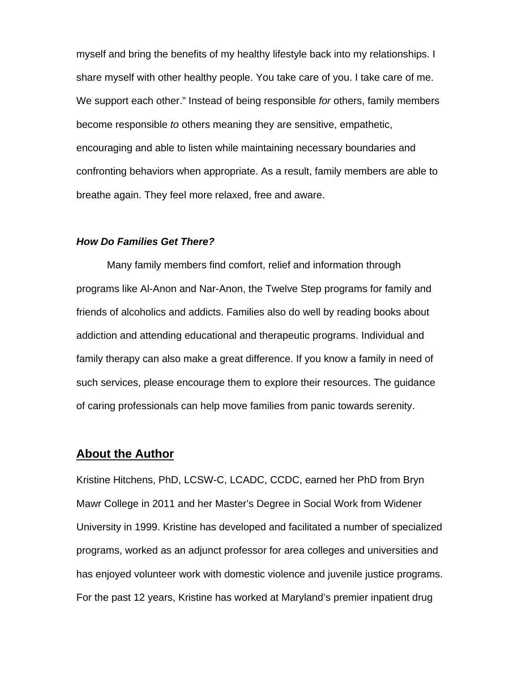myself and bring the benefits of my healthy lifestyle back into my relationships. I share myself with other healthy people. You take care of you. I take care of me. We support each other." Instead of being responsible *for* others, family members become responsible *to* others meaning they are sensitive, empathetic, encouraging and able to listen while maintaining necessary boundaries and confronting behaviors when appropriate. As a result, family members are able to breathe again. They feel more relaxed, free and aware.

#### *How Do Families Get There?*

Many family members find comfort, relief and information through programs like Al-Anon and Nar-Anon, the Twelve Step programs for family and friends of alcoholics and addicts. Families also do well by reading books about addiction and attending educational and therapeutic programs. Individual and family therapy can also make a great difference. If you know a family in need of such services, please encourage them to explore their resources. The guidance of caring professionals can help move families from panic towards serenity.

# **About the Author**

Kristine Hitchens, PhD, LCSW-C, LCADC, CCDC, earned her PhD from Bryn Mawr College in 2011 and her Master's Degree in Social Work from Widener University in 1999. Kristine has developed and facilitated a number of specialized programs, worked as an adjunct professor for area colleges and universities and has enjoyed volunteer work with domestic violence and juvenile justice programs. For the past 12 years, Kristine has worked at Maryland's premier inpatient drug